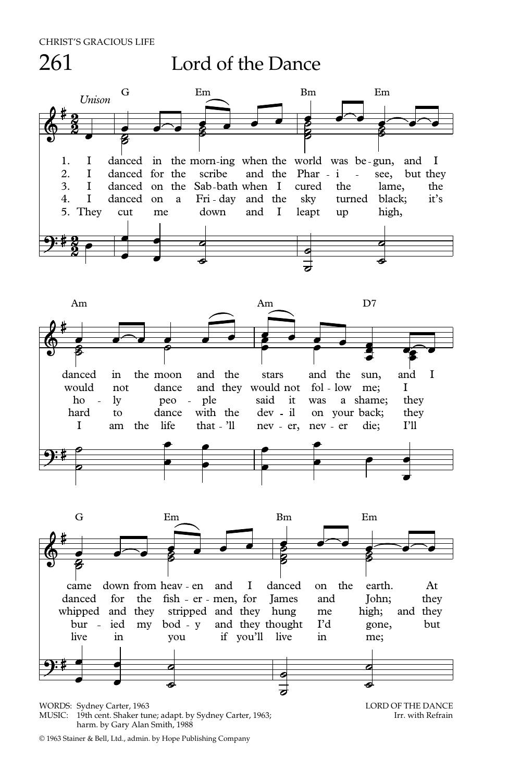

## Lord of the Dance



WORDS: Sydney Carter, 1963 MUSIC: 19th cent. Shaker tune; adapt. by Sydney Carter, 1963; harm. by Gary Alan Smith, 1988

LORD OF THE DANCE Irr. with Refrain

© 1963 Stainer & Bell, Ltd., admin. by Hope Publishing Company